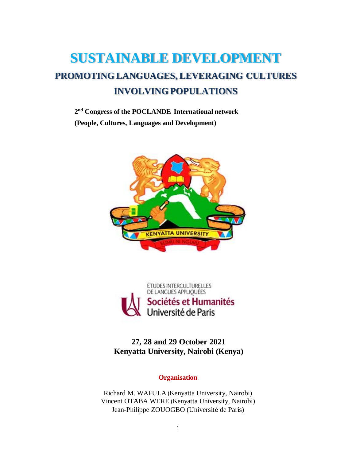# **SUSTAINABLE DEVELOPMENT PROMOTING LANGUAGES, LEVERAGING CULTURES INVOLVING POPULATIONS**

**2 nd Congress of the POCLANDE International network (People, Cultures, Languages and Development)**





**27, 28 and 29 October 2021 Kenyatta University, Nairobi (Kenya)**

## **Organisation**

Richard M. WAFULA (Kenyatta University, Nairobi) Vincent OTABA WERE (Kenyatta University, Nairobi) Jean-Philippe ZOUOGBO (Université de Paris)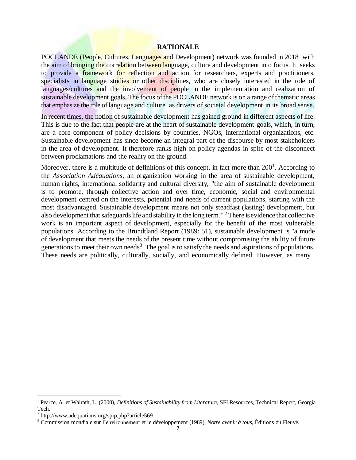#### **RATIONALE**

POCLANDE (People, Cultures, Languages and Development) network was founded in 2018 with the aim of bringing the correlation between language, culture and development into focus. It seeks to provide a framework for reflection and action for researchers, experts and practitioners, specialists in language studies or other disciplines, who are closely interested in the role of languages/cultures and the involvement of people in the implementation and realization of sustainable development goals. The focus of the POCLANDE network is on a range ofthematic areas that emphasize the role of language and culture as drivers of societal development in its broad sense.

In recent times, the notion of sustainable development has gained ground in different aspects of life. This is due to the fact that people are at the heart of sustainable development goals, which, in turn, are a core component of policy decisions by countries, NGOs, international organizations, etc. Sustainable development has since become an integral part of the discourse by most stakeholders in the area of development. It therefore ranks high on policy agendas in spite of the disconnect between proclamations and the reality on the ground.

Moreover, there is a multitude of definitions of this concept, in fact more than  $200<sup>1</sup>$ . According to the *Association Adéquations*, an organization working in the area of sustainable development, human rights, international solidarity and cultural diversity, "the aim of sustainable development is to promote, through collective action and over time, economic, social and environmental development centred on the interests, potential and needs of current populations, starting with the most disadvantaged. Sustainable development means not only steadfast (lasting) development, but also development that safeguards life and stability in the long term."  $2$  There is evidence that collective work is an important aspect of development, especially for the benefit of the most vulnerable populations. According to the Brundtland Report (1989: 51), sustainable development is "a mode of development that meets the needs of the present time without compromising the ability of future generations to meet their own needs<sup>3</sup>. The goal is to satisfy the needs and aspirations of populations. These needs are politically, culturally, socially, and economically defined. However, as many

**.** 

<sup>1</sup> Pearce, A. et Walrath, L. (2000), *Definitions of Sustainability from Literature*, SFI Resources, Technical Report, Georgia Tech.

<sup>2</sup> http://www.adequations.org/spip.php?article569

<sup>3</sup> Commission mondiale sur l'environnement et le développement (1989), *Notre avenir à tous*, Éditions du Fleuve.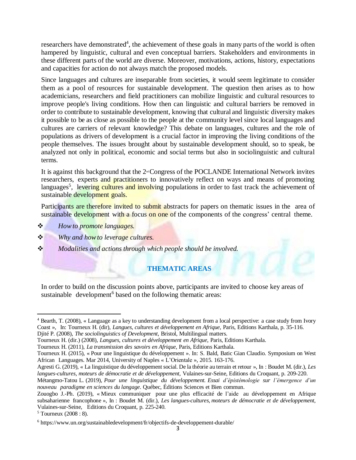researchers have demonstrated<sup>4</sup>, the achievement of these goals in many parts of the world is often hampered by linguistic, cultural and even conceptual barriers. Stakeholders and environments in these different parts of the world are diverse. Moreover, motivations, actions, history, expectations and capacities for action do not always match the proposed models.

Since languages and cultures are inseparable from societies, it would seem legitimate to consider them as a pool of resources for sustainable development. The question then arises as to how academicians, researchers and field practitioners can mobilize linguistic and cultural resources to improve people's living conditions. How then can linguistic and cultural barriers be removed in order to contribute to sustainable development, knowing that cultural and linguistic diversity makes it possible to be as close as possible to the people at the community level since local languages and cultures are carriers of relevant knowledge? This debate on languages, cultures and the role of populations as drivers of development is a crucial factor in improving the living conditions of the people themselves. The issues brought about by sustainable development should, so to speak, be analyzed not only in political, economic and social terms but also in sociolinguistic and cultural terms.

It is against this background that the  $2<sup>nd</sup>$ Congress of the POCLANDE International Network invites researchers, experts and practitioners to innovatively reflect on ways and means of promoting languages<sup>5</sup>, levering cultures and involving populations in order to fast track the achievement of sustainable development goals.

Participants are therefore invited to submit abstracts for papers on thematic issues in the area of sustainable development with a focus on one of the components of the congress' central theme.

- *Howto promote languages.*
- *Why and howto leverage cultures.*
- *Modalities and actions through which people should be involved.*

# **THEMATIC AREAS**

In order to build on the discussion points above, participants are invited to choose key areas of sustainable development<sup>6</sup> based on the following thematic areas:

Djité P. (2008), *The sociolinguistics of Development*, Bristol, Multilingual matters.

1

<sup>4</sup> Bearth, T. (2008), « Language as a key to understanding development from a local perspective: a case study from Ivory Coast », In: Tourneux H. (dir), *Langues, cultures et développement en Afrique*, Paris, Editions Karthala, p. 35-116.

Tourneux H. (dir.) (2008), *Langues, cultures et développement en Afrique*, Paris, Editions Karthala.

Tourneux H. (2011), *La transmission des savoirs en Afrique*, Paris, Editions Karthala.

Tourneux H. (2015), « Pour une linguistique du développement ». In: S. Bald, Batic Gian Claudio. Symposium on West African Languages. Mar 2014, University of Naples « L'Orientale », 2015. 163-176.

Agresti G. (2019), « La linguistique du développement social. De la théorie au terrain et retour », In : Boudet M. (dir.), *Les langues-cultures, moteurs de démocratie et de développement*, Vulaines-sur-Seine, Editions du Croquant, p. 209-220.

Métangmo-Tatou L. (2019), *Pour une linguistique du développement. Essai d'épistémologie sur l'émergence d'un nouveau paradigme en sciences du langage*. Québec, Éditions Sciences et Bien commun.

Zouogbo J.-Ph. (2019), « Mieux communiquer pour une plus efficacité de l'aide au développement en Afrique subsaharienne francophone », In : Boudet M. (dir.), *Les langues-cultures, moteurs de démocratie et de développement*, Vulaines-sur-Seine, Editions du Croquant, p. 225-240.

<sup>5</sup> Tourneux (2008 : 8).

<sup>6</sup> https:/[/www.un.org/sustainabledevelopment/fr/objectifs-de-developpement-durable/](http://www.un.org/sustainabledevelopment/fr/objectifs-de-developpement-durable/)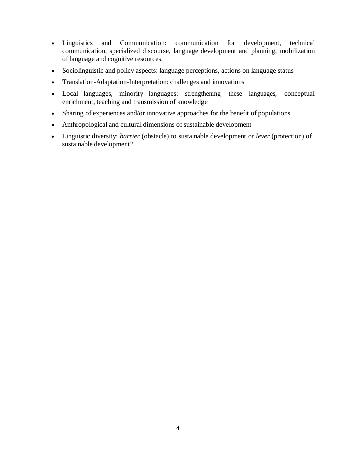- Linguistics and Communication: communication for development, technical communication, specialized discourse, language development and planning, mobilization of language and cognitive resources.
- Sociolinguistic and policy aspects: language perceptions, actions on language status
- Translation-Adaptation-Interpretation: challenges and innovations
- Local languages, minority languages: strengthening these languages, conceptual enrichment, teaching and transmission of knowledge
- Sharing of experiences and/or innovative approaches for the benefit of populations
- Anthropological and cultural dimensions of sustainable development
- Linguistic diversity: *barrier* (obstacle) to sustainable development or *lever* (protection) of sustainable development?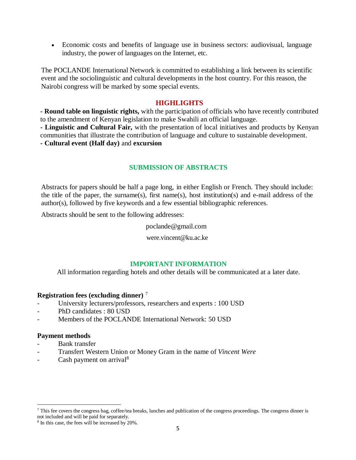Economic costs and benefits of language use in business sectors: audiovisual, language industry, the power of languages on the Internet, etc.

The POCLANDE International Network is committed to establishing a link between its scientific event and the sociolinguistic and cultural developments in the host country. For this reason, the Nairobi congress will be marked by some special events.

### **HIGHLIGHTS**

**- Round table on linguistic rights,** with the participation of officials who have recently contributed to the amendment of Kenyan legislation to make Swahili an official language.

**- Linguistic and Cultural Fair,** with the presentation of local initiatives and products by Kenyan communities that illustrate the contribution of language and culture to sustainable development.

**- Cultural event (Half day)** and **excursion** 

## **SUBMISSION OF ABSTRACTS**

Abstracts for papers should be half a page long, in either English or French. They should include: the title of the paper, the surname(s), first name(s), host institution(s) and e-mail address of the author(s), followed by five keywords and a few essential bibliographic references.

Abstracts should be sent to the following addresses:

[poclande@gmail.com](mailto:poclande@gmail.com)

[were.vincent@ku.ac.ke](mailto:were.vincent@ku.ac.ke)

### **IMPORTANT INFORMATION**

All information regarding hotels and other details will be communicated at a later date.

### **Registration fees (excluding dinner)** <sup>7</sup>

- University lecturers/professors, researchers and experts : 100 USD
- PhD candidates : 80 USD
- Members of the POCLANDE International Network: 50 USD

### **Payment methods**

-

- Bank transfer
- Transfert Western Union or Money Gram in the name of *Vincent Were*
- Cash payment on arrival<sup>8</sup>

 $^7$  This fee covers the congress bag, coffee/tea breaks, lunches and publication of the congress proceedings. The congress dinner is not included and will be paid for separately.

<sup>8</sup> In this case, the fees will be increased by 20%.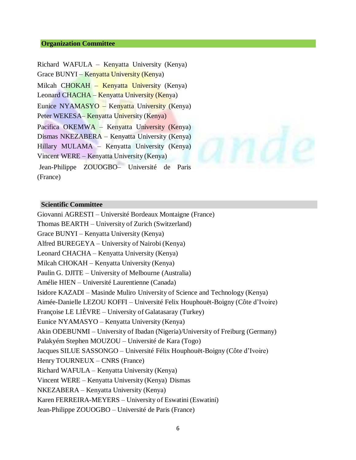#### **Organization Committee**

Richard WAFULA – Kenyatta University (Kenya) Grace BUNYI – Kenyatta University (Kenya) Milcah CHOKAH – Kenyatta University (Kenya) Leonard CHACHA – Kenyatta University (Kenya) Eunice NYAMASYO – Kenyatta University (Kenya) Peter WEKESA– Kenyatta University (Kenya) Pacifica OKEMWA – Kenyatta University (Kenya) Dismas NKEZABERA – Kenyatta University (Kenya) Hillary MULAMA – Kenyatta University (Kenya) Vincent WERE – Kenyatta University (Kenya) Jean-Philippe ZOUOGBO– Université de Paris (France)



#### **Scientific Committee**

Giovanni AGRESTI – Université Bordeaux Montaigne (France) Thomas BEARTH – University of Zurich (Switzerland) Grace BUNYI – Kenyatta University (Kenya) Alfred BUREGEYA – University of Nairobi (Kenya) Leonard CHACHA – Kenyatta University (Kenya) Milcah CHOKAH – Kenyatta University (Kenya) Paulin G. DJITE – University of Melbourne (Australia) Amélie HIEN – Université Laurentienne (Canada) Isidore KAZADI – Masinde Muliro University of Science and Technology (Kenya) Aimée-Danielle LEZOU KOFFI – Université Felix Houphouët-Boigny (Côte d'Ivoire) Françoise LE LIÈVRE – University of Galatasaray (Turkey) Eunice NYAMASYO – Kenyatta University (Kenya) Akin ODEBUNMI – University of Ibadan (Nigeria)/University of Freiburg (Germany) Palakyém Stephen MOUZOU – Université de Kara (Togo) Jacques SILUE SASSONGO – Université Félix Houphouët-Boigny (Côte d'Ivoire) Henry TOURNEUX – CNRS (France) Richard WAFULA – Kenyatta University (Kenya) Vincent WERE – Kenyatta University (Kenya) Dismas NKEZABERA – Kenyatta University (Kenya) Karen FERREIRA-MEYERS – University of Eswatini (Eswatini) Jean-Philippe ZOUOGBO – Université de Paris (France)